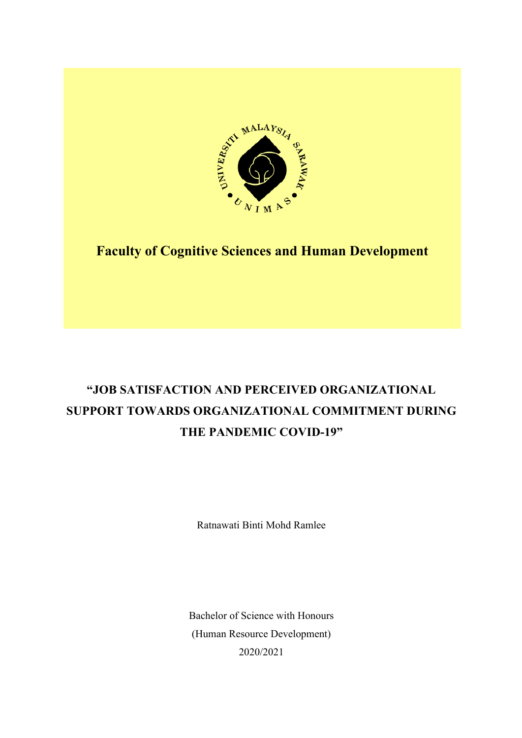

## **Faculty of Cognitive Sciences and Human Development**

# **"JOB SATISFACTION AND PERCEIVED ORGANIZATIONAL SUPPORT TOWARDS ORGANIZATIONAL COMMITMENT DURING THE PANDEMIC COVID-19"**

Ratnawati Binti Mohd Ramlee

Bachelor of Science with Honours (Human Resource Development) 2020/2021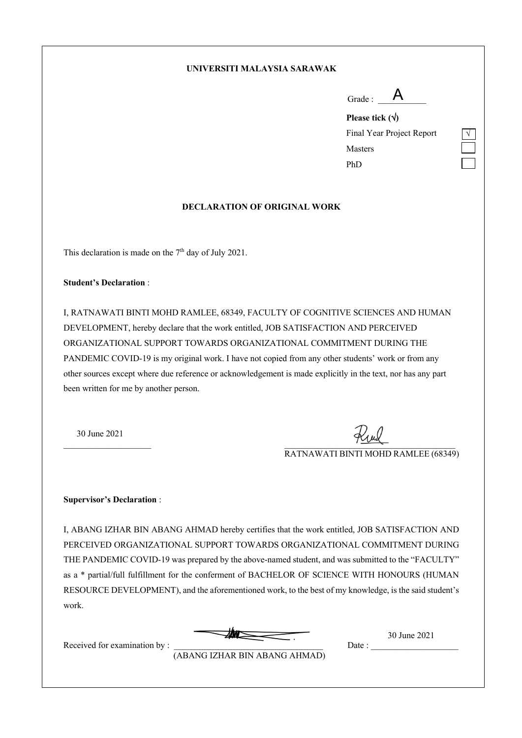### **UNIVERSITI MALAYSIA SARAWAK**

**Please tick (**Ö**)**  Final Year Project Report Masters PhD

### **DECLARATION OF ORIGINAL WORK**

This declaration is made on the 7<sup>th</sup> day of July 2021.

#### **Student's Declaration** :

I, RATNAWATI BINTI MOHD RAMLEE, 68349, FACULTY OF COGNITIVE SCIENCES AND HUMAN DEVELOPMENT, hereby declare that the work entitled, JOB SATISFACTION AND PERCEIVED ORGANIZATIONAL SUPPORT TOWARDS ORGANIZATIONAL COMMITMENT DURING THE PANDEMIC COVID-19 is my original work. I have not copied from any other students' work or from any other sources except where due reference or acknowledgement is made explicitly in the text, nor has any part been written for me by another person.

30 June 2021

 $\frac{1}{2}$   $\frac{1}{2}$   $\frac{1}{2}$   $\frac{1}{2}$   $\frac{1}{2}$   $\frac{1}{2}$   $\frac{1}{2}$   $\frac{1}{2}$   $\frac{1}{2}$   $\frac{1}{2}$   $\frac{1}{2}$   $\frac{1}{2}$   $\frac{1}{2}$   $\frac{1}{2}$   $\frac{1}{2}$   $\frac{1}{2}$   $\frac{1}{2}$   $\frac{1}{2}$   $\frac{1}{2}$   $\frac{1}{2}$   $\frac{1}{2}$   $\frac{1}{2}$ 

RATNAWATI BINTI MOHD RAMLEE (68349)

#### **Supervisor's Declaration** :

I, ABANG IZHAR BIN ABANG AHMAD hereby certifies that the work entitled, JOB SATISFACTION AND PERCEIVED ORGANIZATIONAL SUPPORT TOWARDS ORGANIZATIONAL COMMITMENT DURING THE PANDEMIC COVID-19 was prepared by the above-named student, and was submitted to the "FACULTY" as a \* partial/full fulfillment for the conferment of BACHELOR OF SCIENCE WITH HONOURS (HUMAN RESOURCE DEVELOPMENT), and the aforementioned work, to the best of my knowledge, is the said student's work.



30 June 2021

Received for examination by : \_\_\_\_\_\_\_\_\_\_\_\_\_\_\_\_\_\_\_\_\_\_\_\_\_\_\_\_\_\_\_\_\_\_ Date : \_\_\_\_\_\_\_\_\_\_\_\_\_\_\_\_\_\_\_\_

(ABANG IZHAR BIN ABANG AHMAD)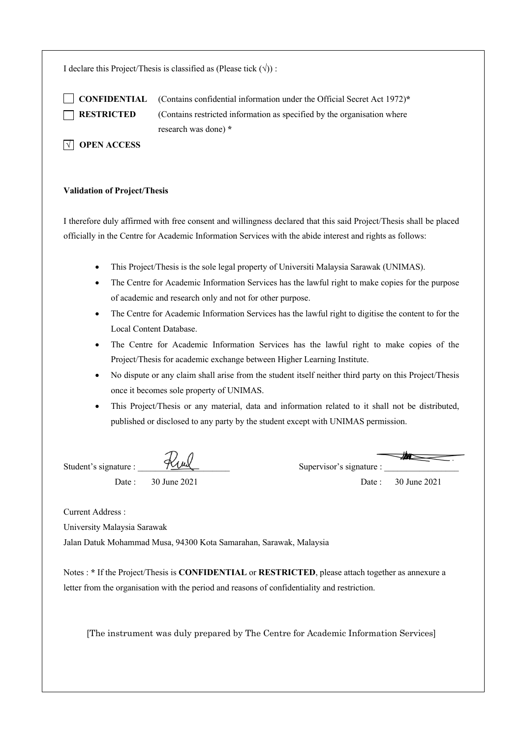I declare this Project/Thesis is classified as (Please tick  $(\forall)$ ) :

 **CONFIDENTIAL** (Contains confidential information under the Official Secret Act 1972)**\* RESTRICTED** (Contains restricted information as specified by the organisation where research was done) **\***

**N** OPEN ACCESS

### **Validation of Project/Thesis**

I therefore duly affirmed with free consent and willingness declared that this said Project/Thesis shall be placed officially in the Centre for Academic Information Services with the abide interest and rights as follows:

- This Project/Thesis is the sole legal property of Universiti Malaysia Sarawak (UNIMAS).
- The Centre for Academic Information Services has the lawful right to make copies for the purpose of academic and research only and not for other purpose.
- The Centre for Academic Information Services has the lawful right to digitise the content to for the Local Content Database.
- The Centre for Academic Information Services has the lawful right to make copies of the Project/Thesis for academic exchange between Higher Learning Institute.
- No dispute or any claim shall arise from the student itself neither third party on this Project/Thesis once it becomes sole property of UNIMAS.
- This Project/Thesis or any material, data and information related to it shall not be distributed, published or disclosed to any party by the student except with UNIMAS permission.

Student's signature :  $\frac{1}{2}$  Supervisor's signature : Date : 30 June 2021 Date : 30 June 2021

Current Address :

University Malaysia Sarawak

Jalan Datuk Mohammad Musa, 94300 Kota Samarahan, Sarawak, Malaysia

Notes : **\*** If the Project/Thesis is **CONFIDENTIAL** or **RESTRICTED**, please attach together as annexure a letter from the organisation with the period and reasons of confidentiality and restriction.

[The instrument was duly prepared by The Centre for Academic Information Services]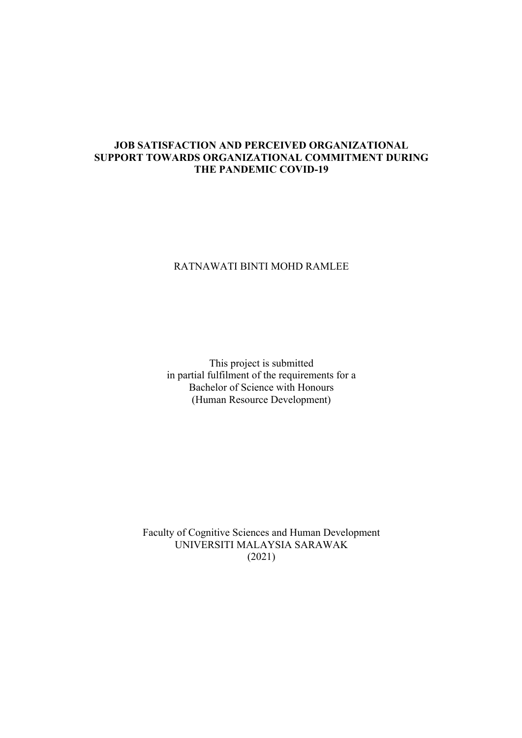### **JOB SATISFACTION AND PERCEIVED ORGANIZATIONAL SUPPORT TOWARDS ORGANIZATIONAL COMMITMENT DURING THE PANDEMIC COVID-19**

### RATNAWATI BINTI MOHD RAMLEE

This project is submitted in partial fulfilment of the requirements for a Bachelor of Science with Honours (Human Resource Development)

Faculty of Cognitive Sciences and Human Development UNIVERSITI MALAYSIA SARAWAK (2021)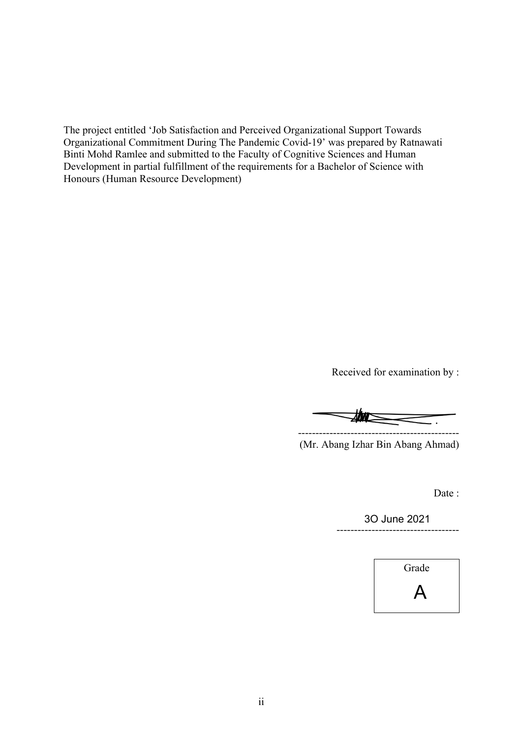The project entitled 'Job Satisfaction and Perceived Organizational Support Towards Organizational Commitment During The Pandemic Covid-19' was prepared by Ratnawati Binti Mohd Ramlee and submitted to the Faculty of Cognitive Sciences and Human Development in partial fulfillment of the requirements for a Bachelor of Science with Honours (Human Resource Development)

Received for examination by :

----------------------------------------------

(Mr. Abang Izhar Bin Abang Ahmad)

Date :

----------------------------------- 3O June 2021

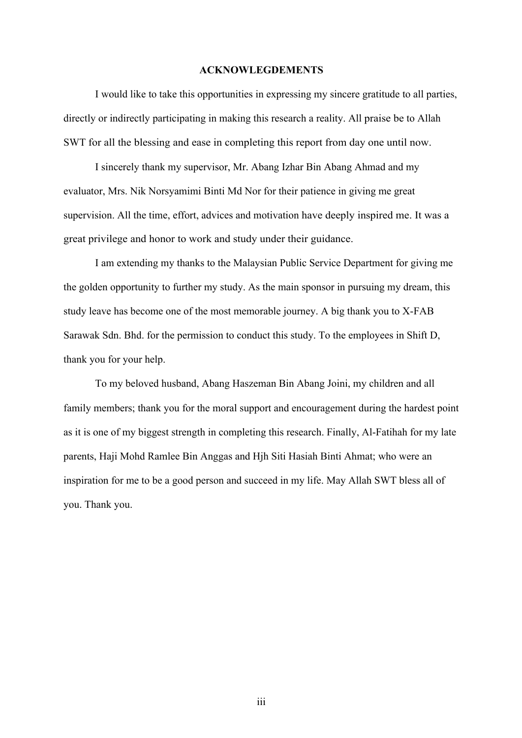### **ACKNOWLEGDEMENTS**

I would like to take this opportunities in expressing my sincere gratitude to all parties, directly or indirectly participating in making this research a reality. All praise be to Allah SWT for all the blessing and ease in completing this report from day one until now.

I sincerely thank my supervisor, Mr. Abang Izhar Bin Abang Ahmad and my evaluator, Mrs. Nik Norsyamimi Binti Md Nor for their patience in giving me great supervision. All the time, effort, advices and motivation have deeply inspired me. It was a great privilege and honor to work and study under their guidance.

I am extending my thanks to the Malaysian Public Service Department for giving me the golden opportunity to further my study. As the main sponsor in pursuing my dream, this study leave has become one of the most memorable journey. A big thank you to X-FAB Sarawak Sdn. Bhd. for the permission to conduct this study. To the employees in Shift D, thank you for your help.

To my beloved husband, Abang Haszeman Bin Abang Joini, my children and all family members; thank you for the moral support and encouragement during the hardest point as it is one of my biggest strength in completing this research. Finally, Al-Fatihah for my late parents, Haji Mohd Ramlee Bin Anggas and Hjh Siti Hasiah Binti Ahmat; who were an inspiration for me to be a good person and succeed in my life. May Allah SWT bless all of you. Thank you.

iii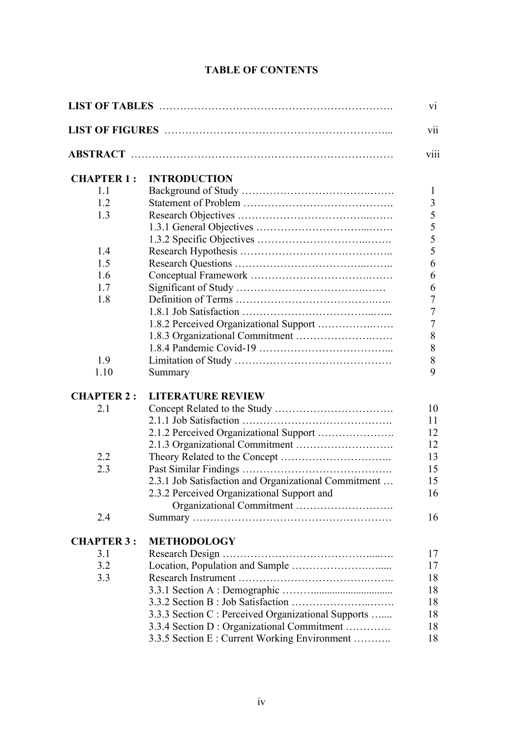## **TABLE OF CONTENTS**

| vii<br>viii<br><b>INTRODUCTION</b><br><b>CHAPTER 1:</b><br>1.1<br>$\mathbf{I}$<br>3<br>1.2<br>5<br>1.3<br>5<br>5<br>5<br>1.4<br>1.5<br>6<br>1.6<br>6<br>1.7<br>6<br>$\tau$<br>1.8<br>$\overline{7}$<br>$\overline{7}$<br>1.8.2 Perceived Organizational Support<br>8<br>8<br>$8\,$<br>1.9<br>9<br>1.10<br>Summary<br><b>CHAPTER 2:</b><br><b>LITERATURE REVIEW</b><br>2.1<br>10<br>11<br>2.1.2 Perceived Organizational Support<br>12<br>12<br>2.2<br>13<br>2.3<br>15<br>2.3.1 Job Satisfaction and Organizational Commitment<br>15<br>2.3.2 Perceived Organizational Support and<br>16<br>2.4<br>16<br><b>CHAPTER 3:</b><br><b>METHODOLOGY</b><br>3.1<br>17<br>3.2<br>17<br>3.3<br>18 |  |  |  |
|----------------------------------------------------------------------------------------------------------------------------------------------------------------------------------------------------------------------------------------------------------------------------------------------------------------------------------------------------------------------------------------------------------------------------------------------------------------------------------------------------------------------------------------------------------------------------------------------------------------------------------------------------------------------------------------|--|--|--|
|                                                                                                                                                                                                                                                                                                                                                                                                                                                                                                                                                                                                                                                                                        |  |  |  |
|                                                                                                                                                                                                                                                                                                                                                                                                                                                                                                                                                                                                                                                                                        |  |  |  |
|                                                                                                                                                                                                                                                                                                                                                                                                                                                                                                                                                                                                                                                                                        |  |  |  |
|                                                                                                                                                                                                                                                                                                                                                                                                                                                                                                                                                                                                                                                                                        |  |  |  |
|                                                                                                                                                                                                                                                                                                                                                                                                                                                                                                                                                                                                                                                                                        |  |  |  |
|                                                                                                                                                                                                                                                                                                                                                                                                                                                                                                                                                                                                                                                                                        |  |  |  |
|                                                                                                                                                                                                                                                                                                                                                                                                                                                                                                                                                                                                                                                                                        |  |  |  |
|                                                                                                                                                                                                                                                                                                                                                                                                                                                                                                                                                                                                                                                                                        |  |  |  |
|                                                                                                                                                                                                                                                                                                                                                                                                                                                                                                                                                                                                                                                                                        |  |  |  |
|                                                                                                                                                                                                                                                                                                                                                                                                                                                                                                                                                                                                                                                                                        |  |  |  |
|                                                                                                                                                                                                                                                                                                                                                                                                                                                                                                                                                                                                                                                                                        |  |  |  |
|                                                                                                                                                                                                                                                                                                                                                                                                                                                                                                                                                                                                                                                                                        |  |  |  |
|                                                                                                                                                                                                                                                                                                                                                                                                                                                                                                                                                                                                                                                                                        |  |  |  |
|                                                                                                                                                                                                                                                                                                                                                                                                                                                                                                                                                                                                                                                                                        |  |  |  |
|                                                                                                                                                                                                                                                                                                                                                                                                                                                                                                                                                                                                                                                                                        |  |  |  |
|                                                                                                                                                                                                                                                                                                                                                                                                                                                                                                                                                                                                                                                                                        |  |  |  |
|                                                                                                                                                                                                                                                                                                                                                                                                                                                                                                                                                                                                                                                                                        |  |  |  |
|                                                                                                                                                                                                                                                                                                                                                                                                                                                                                                                                                                                                                                                                                        |  |  |  |
|                                                                                                                                                                                                                                                                                                                                                                                                                                                                                                                                                                                                                                                                                        |  |  |  |
|                                                                                                                                                                                                                                                                                                                                                                                                                                                                                                                                                                                                                                                                                        |  |  |  |
|                                                                                                                                                                                                                                                                                                                                                                                                                                                                                                                                                                                                                                                                                        |  |  |  |
|                                                                                                                                                                                                                                                                                                                                                                                                                                                                                                                                                                                                                                                                                        |  |  |  |
|                                                                                                                                                                                                                                                                                                                                                                                                                                                                                                                                                                                                                                                                                        |  |  |  |
|                                                                                                                                                                                                                                                                                                                                                                                                                                                                                                                                                                                                                                                                                        |  |  |  |
|                                                                                                                                                                                                                                                                                                                                                                                                                                                                                                                                                                                                                                                                                        |  |  |  |
|                                                                                                                                                                                                                                                                                                                                                                                                                                                                                                                                                                                                                                                                                        |  |  |  |
|                                                                                                                                                                                                                                                                                                                                                                                                                                                                                                                                                                                                                                                                                        |  |  |  |
|                                                                                                                                                                                                                                                                                                                                                                                                                                                                                                                                                                                                                                                                                        |  |  |  |
|                                                                                                                                                                                                                                                                                                                                                                                                                                                                                                                                                                                                                                                                                        |  |  |  |
|                                                                                                                                                                                                                                                                                                                                                                                                                                                                                                                                                                                                                                                                                        |  |  |  |
|                                                                                                                                                                                                                                                                                                                                                                                                                                                                                                                                                                                                                                                                                        |  |  |  |
|                                                                                                                                                                                                                                                                                                                                                                                                                                                                                                                                                                                                                                                                                        |  |  |  |
|                                                                                                                                                                                                                                                                                                                                                                                                                                                                                                                                                                                                                                                                                        |  |  |  |
|                                                                                                                                                                                                                                                                                                                                                                                                                                                                                                                                                                                                                                                                                        |  |  |  |
| 18                                                                                                                                                                                                                                                                                                                                                                                                                                                                                                                                                                                                                                                                                     |  |  |  |
| 18                                                                                                                                                                                                                                                                                                                                                                                                                                                                                                                                                                                                                                                                                     |  |  |  |
| 3.3.3 Section C : Perceived Organizational Supports<br>18                                                                                                                                                                                                                                                                                                                                                                                                                                                                                                                                                                                                                              |  |  |  |
| 3.3.4 Section D : Organizational Commitment<br>18                                                                                                                                                                                                                                                                                                                                                                                                                                                                                                                                                                                                                                      |  |  |  |
| 3.3.5 Section E : Current Working Environment<br>18                                                                                                                                                                                                                                                                                                                                                                                                                                                                                                                                                                                                                                    |  |  |  |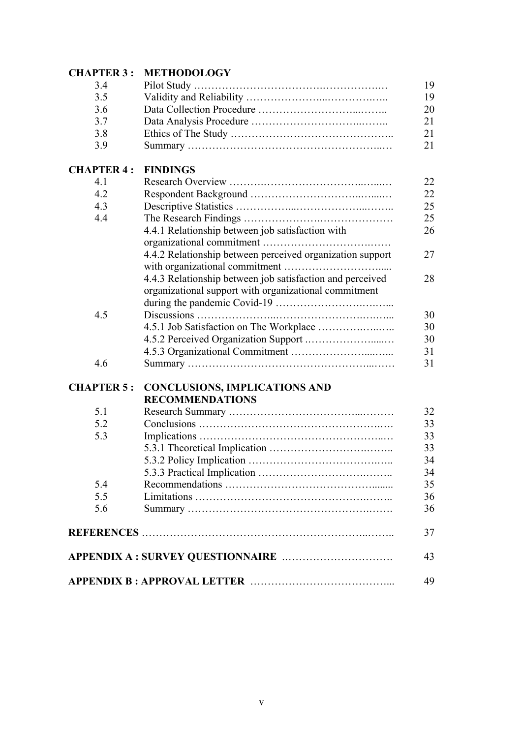| <b>CHAPTER 3: METHODOLOGY</b> |  |  |
|-------------------------------|--|--|
|                               |  |  |

| 3.4               |                                                           | 19 |
|-------------------|-----------------------------------------------------------|----|
| 3.5               |                                                           | 19 |
| 3.6               |                                                           | 20 |
| 3.7               |                                                           | 21 |
| 3.8               |                                                           | 21 |
| 3.9               |                                                           | 21 |
| <b>CHAPTER 4:</b> | <b>FINDINGS</b>                                           |    |
| 4.1               |                                                           | 22 |
| 4.2               |                                                           | 22 |
| 4.3               |                                                           | 25 |
| 4.4               |                                                           | 25 |
|                   | 4.4.1 Relationship between job satisfaction with          | 26 |
|                   |                                                           |    |
|                   | 4.4.2 Relationship between perceived organization support | 27 |
|                   |                                                           |    |
|                   | 4.4.3 Relationship between job satisfaction and perceived | 28 |
|                   | organizational support with organizational commitment     |    |
|                   |                                                           |    |
| 4.5               |                                                           | 30 |
|                   |                                                           | 30 |
|                   |                                                           | 30 |
|                   |                                                           | 31 |
| 4.6               |                                                           | 31 |
| <b>CHAPTER 5:</b> | <b>CONCLUSIONS, IMPLICATIONS AND</b>                      |    |
|                   | <b>RECOMMENDATIONS</b>                                    |    |
| 5.1               |                                                           | 32 |
| 5.2               |                                                           | 33 |
| 5.3               |                                                           | 33 |
|                   |                                                           | 33 |
|                   |                                                           | 34 |
|                   |                                                           | 34 |
| 5.4               |                                                           | 35 |
| 5.5               |                                                           | 36 |
| 5.6               |                                                           | 36 |
|                   |                                                           | 37 |
|                   |                                                           |    |
|                   |                                                           | 43 |
|                   |                                                           | 49 |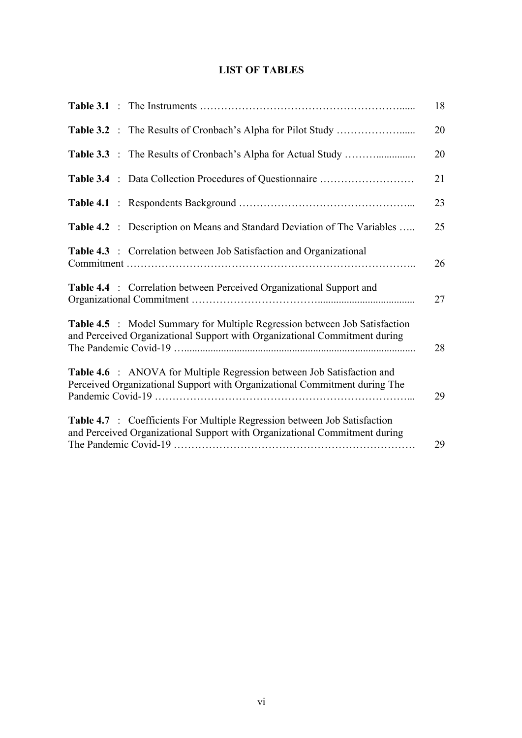### **LIST OF TABLES**

|                                                                                                                                                                | 18 |
|----------------------------------------------------------------------------------------------------------------------------------------------------------------|----|
|                                                                                                                                                                | 20 |
|                                                                                                                                                                | 20 |
| Table 3.4 : Data Collection Procedures of Questionnaire                                                                                                        | 21 |
|                                                                                                                                                                | 23 |
| Table 4.2 : Description on Means and Standard Deviation of The Variables                                                                                       | 25 |
| <b>Table 4.3</b> : Correlation between Job Satisfaction and Organizational                                                                                     | 26 |
| <b>Table 4.4</b> : Correlation between Perceived Organizational Support and                                                                                    | 27 |
| Table 4.5 : Model Summary for Multiple Regression between Job Satisfaction<br>and Perceived Organizational Support with Organizational Commitment during       | 28 |
| <b>Table 4.6</b> : ANOVA for Multiple Regression between Job Satisfaction and<br>Perceived Organizational Support with Organizational Commitment during The    | 29 |
| <b>Table 4.7</b> : Coefficients For Multiple Regression between Job Satisfaction<br>and Perceived Organizational Support with Organizational Commitment during | 29 |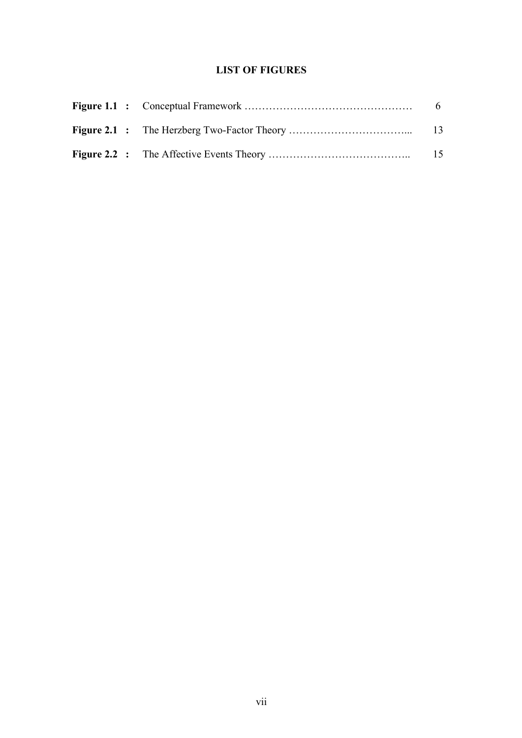### **LIST OF FIGURES**

|  | - 6 |
|--|-----|
|  | -13 |
|  | -15 |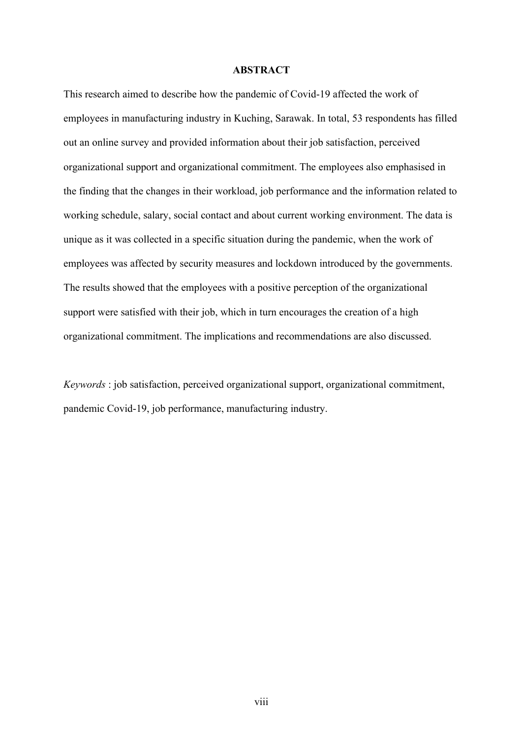### **ABSTRACT**

This research aimed to describe how the pandemic of Covid-19 affected the work of employees in manufacturing industry in Kuching, Sarawak. In total, 53 respondents has filled out an online survey and provided information about their job satisfaction, perceived organizational support and organizational commitment. The employees also emphasised in the finding that the changes in their workload, job performance and the information related to working schedule, salary, social contact and about current working environment. The data is unique as it was collected in a specific situation during the pandemic, when the work of employees was affected by security measures and lockdown introduced by the governments. The results showed that the employees with a positive perception of the organizational support were satisfied with their job, which in turn encourages the creation of a high organizational commitment. The implications and recommendations are also discussed.

*Keywords* : job satisfaction, perceived organizational support, organizational commitment, pandemic Covid-19, job performance, manufacturing industry.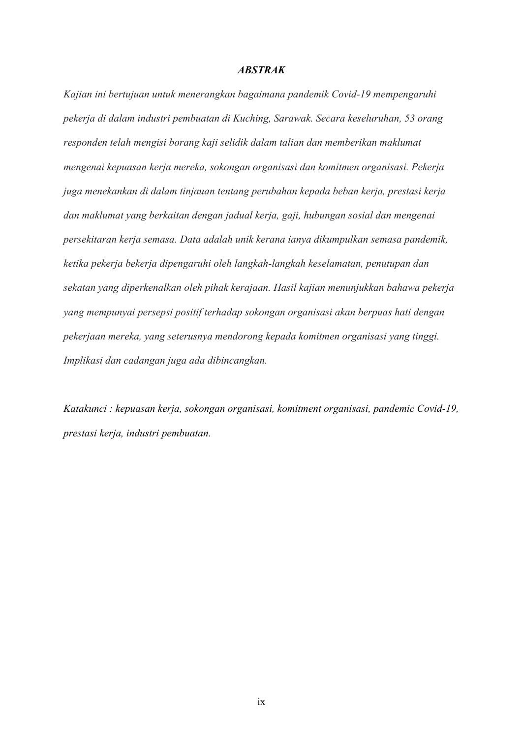### *ABSTRAK*

*Kajian ini bertujuan untuk menerangkan bagaimana pandemik Covid-19 mempengaruhi pekerja di dalam industri pembuatan di Kuching, Sarawak. Secara keseluruhan, 53 orang responden telah mengisi borang kaji selidik dalam talian dan memberikan maklumat mengenai kepuasan kerja mereka, sokongan organisasi dan komitmen organisasi. Pekerja juga menekankan di dalam tinjauan tentang perubahan kepada beban kerja, prestasi kerja dan maklumat yang berkaitan dengan jadual kerja, gaji, hubungan sosial dan mengenai persekitaran kerja semasa. Data adalah unik kerana ianya dikumpulkan semasa pandemik, ketika pekerja bekerja dipengaruhi oleh langkah-langkah keselamatan, penutupan dan sekatan yang diperkenalkan oleh pihak kerajaan. Hasil kajian menunjukkan bahawa pekerja yang mempunyai persepsi positif terhadap sokongan organisasi akan berpuas hati dengan pekerjaan mereka, yang seterusnya mendorong kepada komitmen organisasi yang tinggi. Implikasi dan cadangan juga ada dibincangkan.*

*Katakunci : kepuasan kerja, sokongan organisasi, komitment organisasi, pandemic Covid-19, prestasi kerja, industri pembuatan.*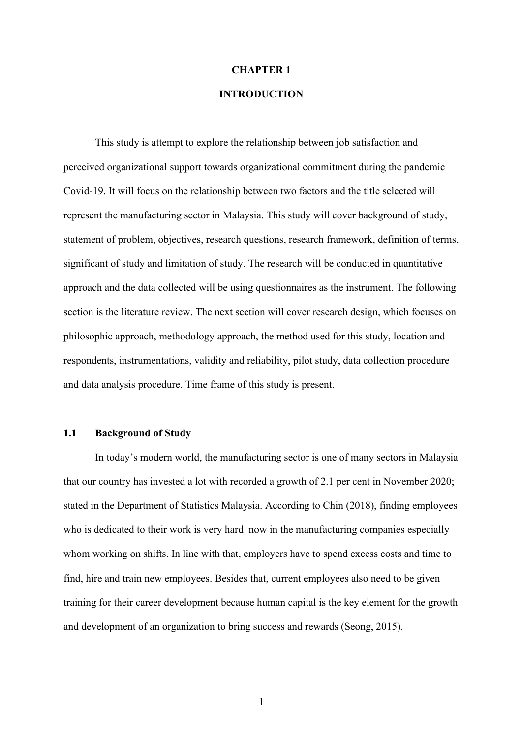### **CHAPTER 1**

### **INTRODUCTION**

This study is attempt to explore the relationship between job satisfaction and perceived organizational support towards organizational commitment during the pandemic Covid-19. It will focus on the relationship between two factors and the title selected will represent the manufacturing sector in Malaysia. This study will cover background of study, statement of problem, objectives, research questions, research framework, definition of terms, significant of study and limitation of study. The research will be conducted in quantitative approach and the data collected will be using questionnaires as the instrument. The following section is the literature review. The next section will cover research design, which focuses on philosophic approach, methodology approach, the method used for this study, location and respondents, instrumentations, validity and reliability, pilot study, data collection procedure and data analysis procedure. Time frame of this study is present.

### **1.1 Background of Study**

In today's modern world, the manufacturing sector is one of many sectors in Malaysia that our country has invested a lot with recorded a growth of 2.1 per cent in November 2020; stated in the Department of Statistics Malaysia. According to Chin (2018), finding employees who is dedicated to their work is very hard now in the manufacturing companies especially whom working on shifts. In line with that, employers have to spend excess costs and time to find, hire and train new employees. Besides that, current employees also need to be given training for their career development because human capital is the key element for the growth and development of an organization to bring success and rewards (Seong, 2015).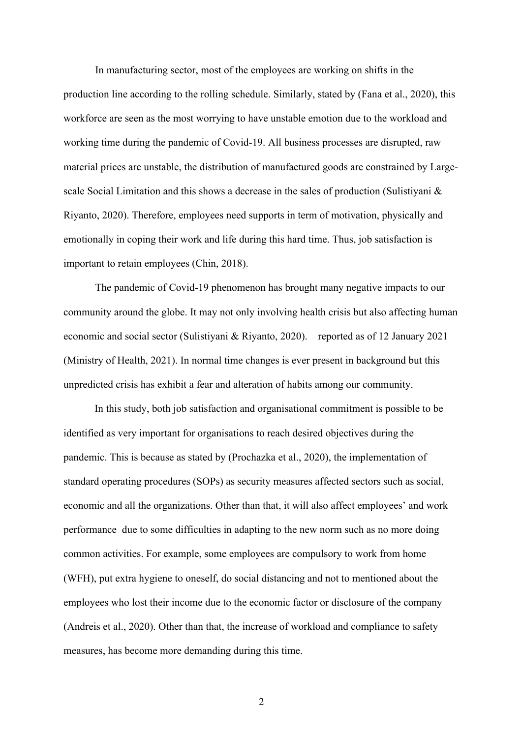In manufacturing sector, most of the employees are working on shifts in the production line according to the rolling schedule. Similarly, stated by (Fana et al., 2020), this workforce are seen as the most worrying to have unstable emotion due to the workload and working time during the pandemic of Covid-19. All business processes are disrupted, raw material prices are unstable, the distribution of manufactured goods are constrained by Largescale Social Limitation and this shows a decrease in the sales of production (Sulistiyani & Riyanto, 2020). Therefore, employees need supports in term of motivation, physically and emotionally in coping their work and life during this hard time. Thus, job satisfaction is important to retain employees (Chin, 2018).

The pandemic of Covid-19 phenomenon has brought many negative impacts to our community around the globe. It may not only involving health crisis but also affecting human economic and social sector (Sulistiyani & Riyanto, 2020). reported as of 12 January 2021 (Ministry of Health, 2021). In normal time changes is ever present in background but this unpredicted crisis has exhibit a fear and alteration of habits among our community.

In this study, both job satisfaction and organisational commitment is possible to be identified as very important for organisations to reach desired objectives during the pandemic. This is because as stated by (Prochazka et al., 2020), the implementation of standard operating procedures (SOPs) as security measures affected sectors such as social, economic and all the organizations. Other than that, it will also affect employees' and work performance due to some difficulties in adapting to the new norm such as no more doing common activities. For example, some employees are compulsory to work from home (WFH), put extra hygiene to oneself, do social distancing and not to mentioned about the employees who lost their income due to the economic factor or disclosure of the company (Andreis et al., 2020). Other than that, the increase of workload and compliance to safety measures, has become more demanding during this time.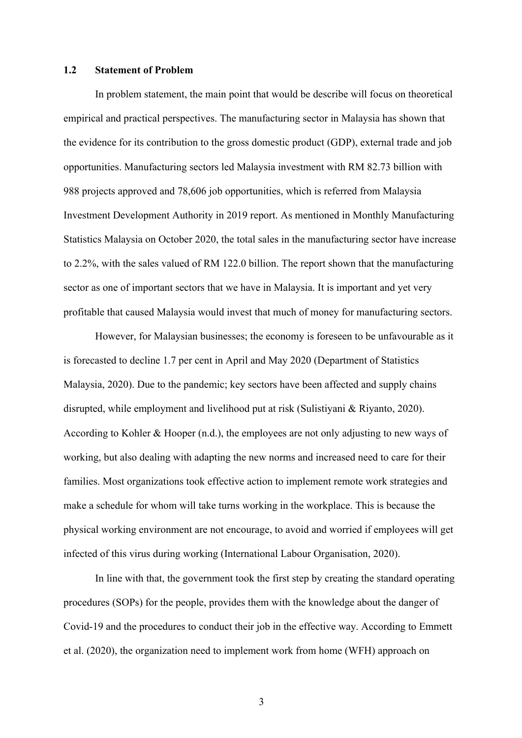### **1.2 Statement of Problem**

In problem statement, the main point that would be describe will focus on theoretical empirical and practical perspectives. The manufacturing sector in Malaysia has shown that the evidence for its contribution to the gross domestic product (GDP), external trade and job opportunities. Manufacturing sectors led Malaysia investment with RM 82.73 billion with 988 projects approved and 78,606 job opportunities, which is referred from Malaysia Investment Development Authority in 2019 report. As mentioned in Monthly Manufacturing Statistics Malaysia on October 2020, the total sales in the manufacturing sector have increase to 2.2%, with the sales valued of RM 122.0 billion. The report shown that the manufacturing sector as one of important sectors that we have in Malaysia. It is important and yet very profitable that caused Malaysia would invest that much of money for manufacturing sectors.

However, for Malaysian businesses; the economy is foreseen to be unfavourable as it is forecasted to decline 1.7 per cent in April and May 2020 (Department of Statistics Malaysia, 2020). Due to the pandemic; key sectors have been affected and supply chains disrupted, while employment and livelihood put at risk (Sulistiyani & Riyanto, 2020). According to Kohler & Hooper (n.d.), the employees are not only adjusting to new ways of working, but also dealing with adapting the new norms and increased need to care for their families. Most organizations took effective action to implement remote work strategies and make a schedule for whom will take turns working in the workplace. This is because the physical working environment are not encourage, to avoid and worried if employees will get infected of this virus during working (International Labour Organisation, 2020).

In line with that, the government took the first step by creating the standard operating procedures (SOPs) for the people, provides them with the knowledge about the danger of Covid-19 and the procedures to conduct their job in the effective way. According to Emmett et al. (2020), the organization need to implement work from home (WFH) approach on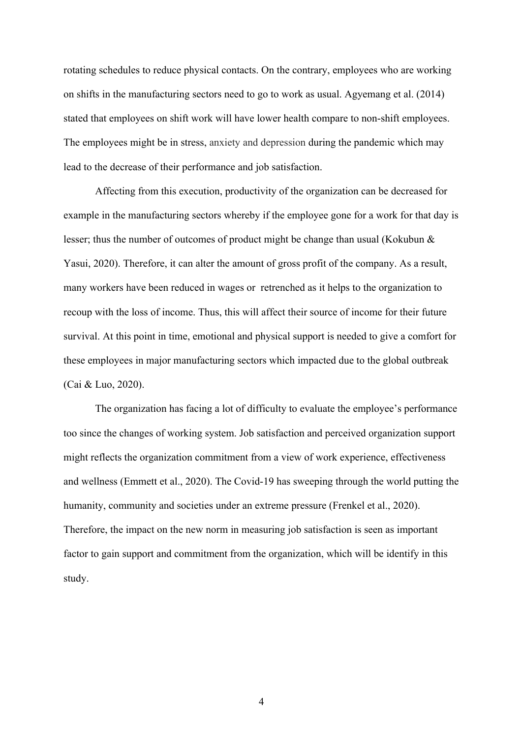rotating schedules to reduce physical contacts. On the contrary, employees who are working on shifts in the manufacturing sectors need to go to work as usual. Agyemang et al. (2014) stated that employees on shift work will have lower health compare to non-shift employees. The employees might be in stress, anxiety and depression during the pandemic which may lead to the decrease of their performance and job satisfaction.

Affecting from this execution, productivity of the organization can be decreased for example in the manufacturing sectors whereby if the employee gone for a work for that day is lesser; thus the number of outcomes of product might be change than usual (Kokubun & Yasui, 2020). Therefore, it can alter the amount of gross profit of the company. As a result, many workers have been reduced in wages or retrenched as it helps to the organization to recoup with the loss of income. Thus, this will affect their source of income for their future survival. At this point in time, emotional and physical support is needed to give a comfort for these employees in major manufacturing sectors which impacted due to the global outbreak (Cai & Luo, 2020).

The organization has facing a lot of difficulty to evaluate the employee's performance too since the changes of working system. Job satisfaction and perceived organization support might reflects the organization commitment from a view of work experience, effectiveness and wellness (Emmett et al., 2020). The Covid-19 has sweeping through the world putting the humanity, community and societies under an extreme pressure (Frenkel et al., 2020). Therefore, the impact on the new norm in measuring job satisfaction is seen as important factor to gain support and commitment from the organization, which will be identify in this study.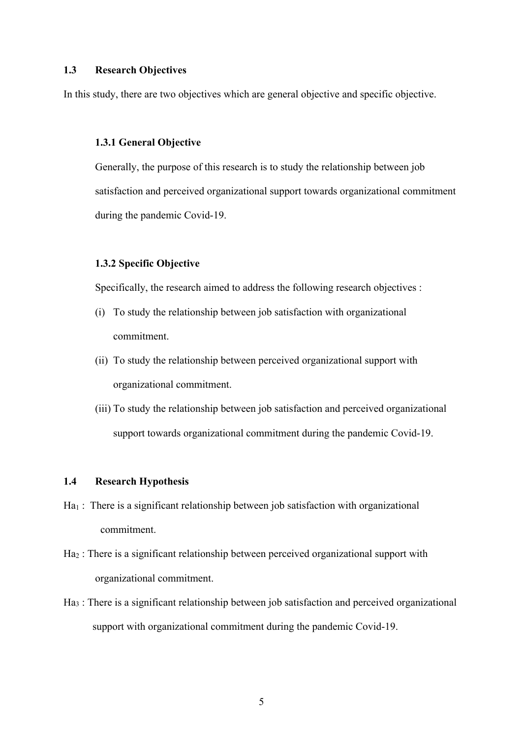### **1.3 Research Objectives**

In this study, there are two objectives which are general objective and specific objective.

### **1.3.1 General Objective**

Generally, the purpose of this research is to study the relationship between job satisfaction and perceived organizational support towards organizational commitment during the pandemic Covid-19.

### **1.3.2 Specific Objective**

Specifically, the research aimed to address the following research objectives :

- (i) To study the relationship between job satisfaction with organizational commitment.
- (ii) To study the relationship between perceived organizational support with organizational commitment.
- (iii) To study the relationship between job satisfaction and perceived organizational support towards organizational commitment during the pandemic Covid-19.

### **1.4 Research Hypothesis**

- $Ha_1$ : There is a significant relationship between job satisfaction with organizational commitment.
- Ha<sub>2</sub>: There is a significant relationship between perceived organizational support with organizational commitment.
- Ha3 : There is a significant relationship between job satisfaction and perceived organizational support with organizational commitment during the pandemic Covid-19.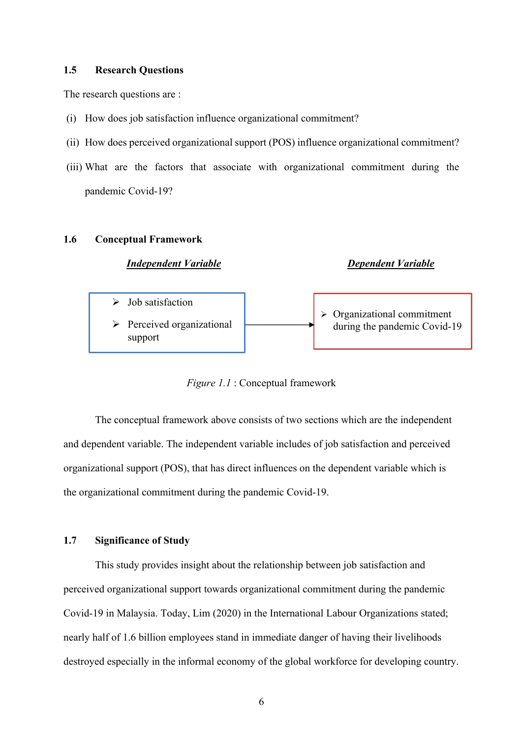### **1.5 Research Questions**

The research questions are :

- (i) How does job satisfaction influence organizational commitment?
- (ii) How does perceived organizational support (POS) influence organizational commitment?
- (iii) What are the factors that associate with organizational commitment during the pandemic Covid-19?

#### **1.6 Conceptual Framework**

### *Independent Variable Dependent Variable*



*Figure 1.1* : Conceptual framework

The conceptual framework above consists of two sections which are the independent and dependent variable. The independent variable includes of job satisfaction and perceived organizational support (POS), that has direct influences on the dependent variable which is the organizational commitment during the pandemic Covid-19.

### **1.7 Significance of Study**

This study provides insight about the relationship between job satisfaction and perceived organizational support towards organizational commitment during the pandemic Covid-19 in Malaysia. Today, Lim (2020) in the International Labour Organizations stated; nearly half of 1.6 billion employees stand in immediate danger of having their livelihoods destroyed especially in the informal economy of the global workforce for developing country.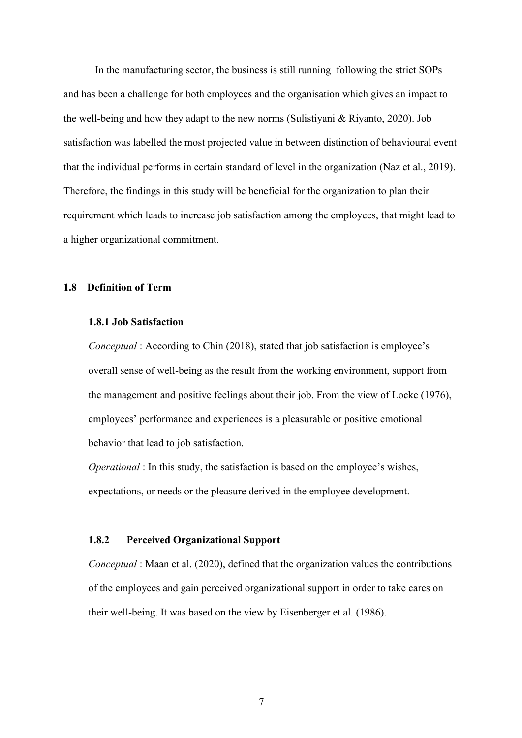In the manufacturing sector, the business is still running following the strict SOPs and has been a challenge for both employees and the organisation which gives an impact to the well-being and how they adapt to the new norms (Sulistiyani & Riyanto, 2020). Job satisfaction was labelled the most projected value in between distinction of behavioural event that the individual performs in certain standard of level in the organization (Naz et al., 2019). Therefore, the findings in this study will be beneficial for the organization to plan their requirement which leads to increase job satisfaction among the employees, that might lead to a higher organizational commitment.

### **1.8 Definition of Term**

### **1.8.1 Job Satisfaction**

*Conceptual* : According to Chin (2018), stated that job satisfaction is employee's overall sense of well-being as the result from the working environment, support from the management and positive feelings about their job. From the view of Locke (1976), employees' performance and experiences is a pleasurable or positive emotional behavior that lead to job satisfaction.

*Operational* : In this study, the satisfaction is based on the employee's wishes, expectations, or needs or the pleasure derived in the employee development.

### **1.8.2 Perceived Organizational Support**

*Conceptual* : Maan et al. (2020), defined that the organization values the contributions of the employees and gain perceived organizational support in order to take cares on their well-being. It was based on the view by Eisenberger et al. (1986).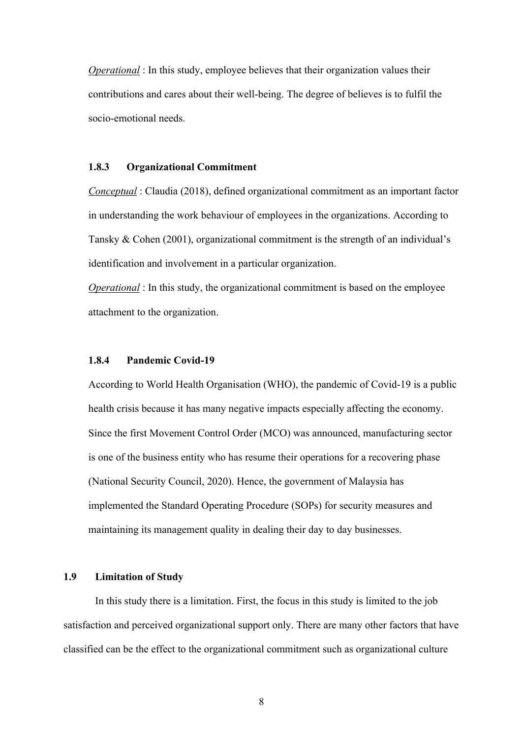*Operational* : In this study, employee believes that their organization values their contributions and cares about their well-being. The degree of believes is to fulfil the socio-emotional needs.

### **1.8.3 Organizational Commitment**

*Conceptual* : Claudia (2018), defined organizational commitment as an important factor in understanding the work behaviour of employees in the organizations. According to Tansky & Cohen (2001), organizational commitment is the strength of an individual's identification and involvement in a particular organization.

*Operational* : In this study, the organizational commitment is based on the employee attachment to the organization.

### **1.8.4 Pandemic Covid-19**

According to World Health Organisation (WHO), the pandemic of Covid-19 is a public health crisis because it has many negative impacts especially affecting the economy. Since the first Movement Control Order (MCO) was announced, manufacturing sector is one of the business entity who has resume their operations for a recovering phase (National Security Council, 2020). Hence, the government of Malaysia has implemented the Standard Operating Procedure (SOPs) for security measures and maintaining its management quality in dealing their day to day businesses.

### **1.9 Limitation of Study**

In this study there is a limitation. First, the focus in this study is limited to the job satisfaction and perceived organizational support only. There are many other factors that have classified can be the effect to the organizational commitment such as organizational culture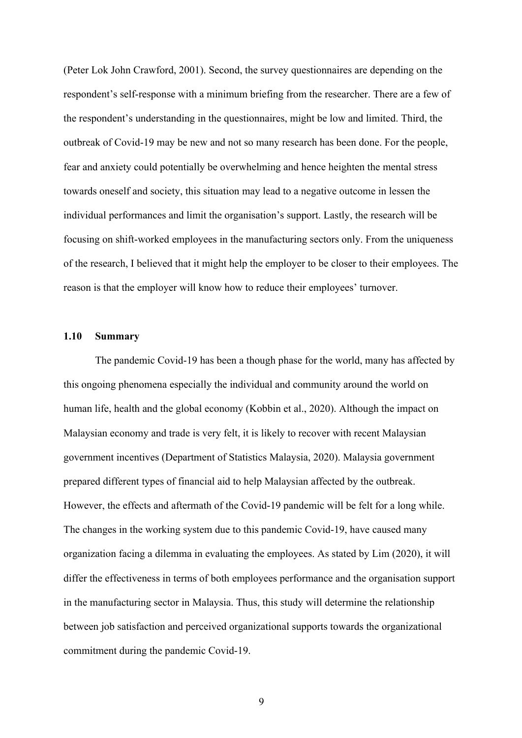(Peter Lok John Crawford, 2001). Second, the survey questionnaires are depending on the respondent's self-response with a minimum briefing from the researcher. There are a few of the respondent's understanding in the questionnaires, might be low and limited. Third, the outbreak of Covid-19 may be new and not so many research has been done. For the people, fear and anxiety could potentially be overwhelming and hence heighten the mental stress towards oneself and society, this situation may lead to a negative outcome in lessen the individual performances and limit the organisation's support. Lastly, the research will be focusing on shift-worked employees in the manufacturing sectors only. From the uniqueness of the research, I believed that it might help the employer to be closer to their employees. The reason is that the employer will know how to reduce their employees' turnover.

### **1.10 Summary**

The pandemic Covid-19 has been a though phase for the world, many has affected by this ongoing phenomena especially the individual and community around the world on human life, health and the global economy (Kobbin et al., 2020). Although the impact on Malaysian economy and trade is very felt, it is likely to recover with recent Malaysian government incentives (Department of Statistics Malaysia, 2020). Malaysia government prepared different types of financial aid to help Malaysian affected by the outbreak. However, the effects and aftermath of the Covid-19 pandemic will be felt for a long while. The changes in the working system due to this pandemic Covid-19, have caused many organization facing a dilemma in evaluating the employees. As stated by Lim (2020), it will differ the effectiveness in terms of both employees performance and the organisation support in the manufacturing sector in Malaysia. Thus, this study will determine the relationship between job satisfaction and perceived organizational supports towards the organizational commitment during the pandemic Covid-19.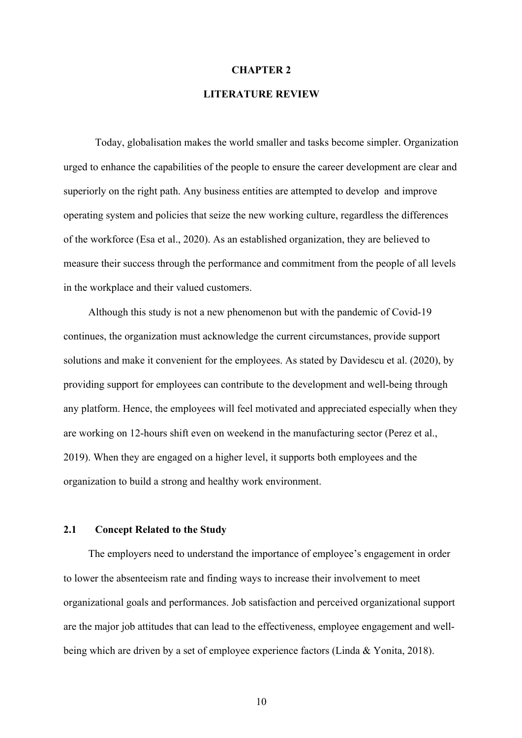#### **CHAPTER 2**

### **LITERATURE REVIEW**

Today, globalisation makes the world smaller and tasks become simpler. Organization urged to enhance the capabilities of the people to ensure the career development are clear and superiorly on the right path. Any business entities are attempted to develop and improve operating system and policies that seize the new working culture, regardless the differences of the workforce (Esa et al., 2020). As an established organization, they are believed to measure their success through the performance and commitment from the people of all levels in the workplace and their valued customers.

Although this study is not a new phenomenon but with the pandemic of Covid-19 continues, the organization must acknowledge the current circumstances, provide support solutions and make it convenient for the employees. As stated by Davidescu et al. (2020), by providing support for employees can contribute to the development and well-being through any platform. Hence, the employees will feel motivated and appreciated especially when they are working on 12-hours shift even on weekend in the manufacturing sector (Perez et al., 2019). When they are engaged on a higher level, it supports both employees and the organization to build a strong and healthy work environment.

### **2.1 Concept Related to the Study**

The employers need to understand the importance of employee's engagement in order to lower the absenteeism rate and finding ways to increase their involvement to meet organizational goals and performances. Job satisfaction and perceived organizational support are the major job attitudes that can lead to the effectiveness, employee engagement and wellbeing which are driven by a set of employee experience factors (Linda & Yonita, 2018).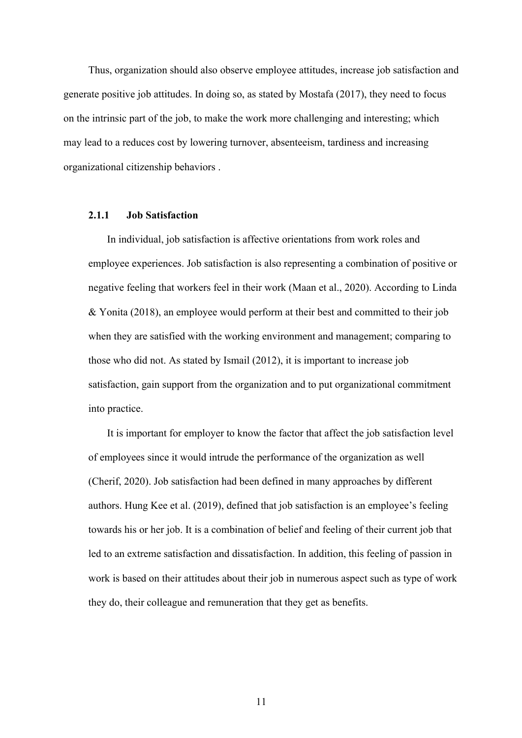Thus, organization should also observe employee attitudes, increase job satisfaction and generate positive job attitudes. In doing so, as stated by Mostafa (2017), they need to focus on the intrinsic part of the job, to make the work more challenging and interesting; which may lead to a reduces cost by lowering turnover, absenteeism, tardiness and increasing organizational citizenship behaviors .

### **2.1.1 Job Satisfaction**

In individual, job satisfaction is affective orientations from work roles and employee experiences. Job satisfaction is also representing a combination of positive or negative feeling that workers feel in their work (Maan et al., 2020). According to Linda & Yonita (2018), an employee would perform at their best and committed to their job when they are satisfied with the working environment and management; comparing to those who did not. As stated by Ismail (2012), it is important to increase job satisfaction, gain support from the organization and to put organizational commitment into practice.

It is important for employer to know the factor that affect the job satisfaction level of employees since it would intrude the performance of the organization as well (Cherif, 2020). Job satisfaction had been defined in many approaches by different authors. Hung Kee et al. (2019), defined that job satisfaction is an employee's feeling towards his or her job. It is a combination of belief and feeling of their current job that led to an extreme satisfaction and dissatisfaction. In addition, this feeling of passion in work is based on their attitudes about their job in numerous aspect such as type of work they do, their colleague and remuneration that they get as benefits.